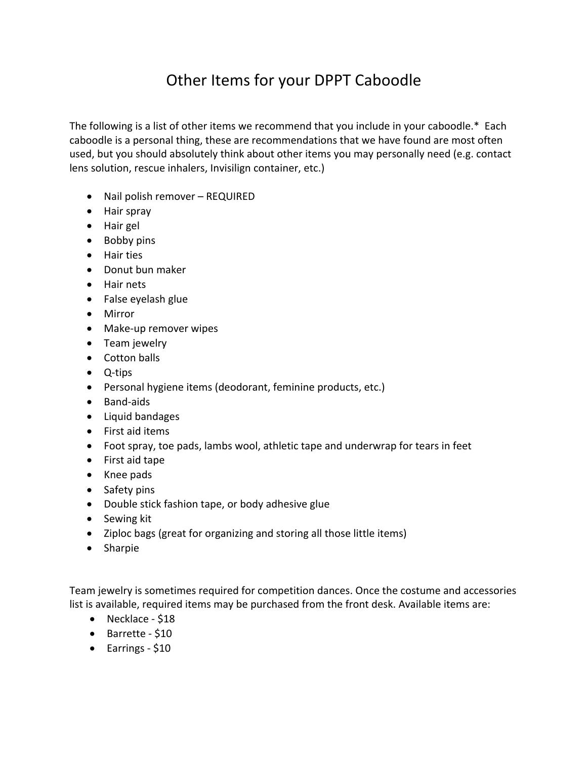## Other Items for your DPPT Caboodle

The following is a list of other items we recommend that you include in your caboodle.\* Each caboodle is a personal thing, these are recommendations that we have found are most often used, but you should absolutely think about other items you may personally need (e.g. contact lens solution, rescue inhalers, Invisilign container, etc.)

- Nail polish remover REQUIRED
- Hair spray
- Hair gel
- Bobby pins
- Hair ties
- Donut bun maker
- Hair nets
- $\bullet$  False eyelash glue
- Mirror
- Make-up remover wipes
- Team jewelry
- Cotton balls
- Q-tips
- Personal hygiene items (deodorant, feminine products, etc.)
- Band-aids
- Liquid bandages
- First aid items
- Foot spray, toe pads, lambs wool, athletic tape and underwrap for tears in feet
- First aid tape
- Knee pads
- Safety pins
- Double stick fashion tape, or body adhesive glue
- Sewing kit
- Ziploc bags (great for organizing and storing all those little items)
- Sharpie

Team jewelry is sometimes required for competition dances. Once the costume and accessories list is available, required items may be purchased from the front desk. Available items are:

- Necklace  $$18$
- Barrette \$10
- $\bullet$  Earrings \$10